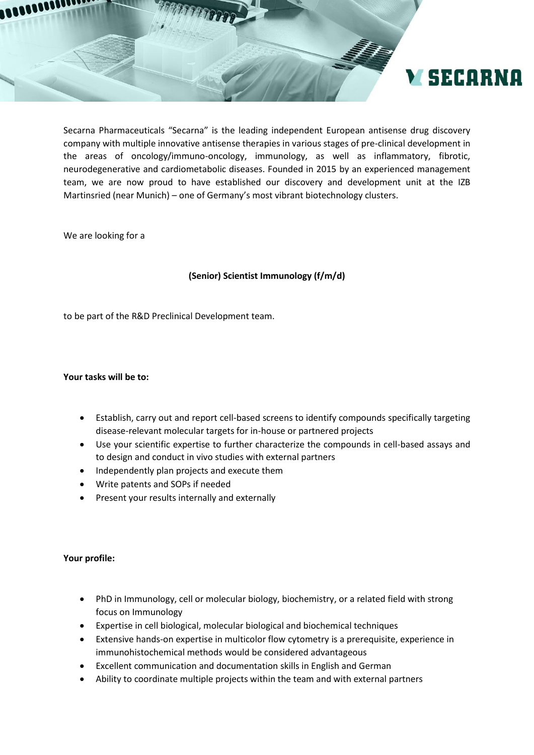

Secarna Pharmaceuticals "Secarna" is the leading independent European antisense drug discovery company with multiple innovative antisense therapies in various stages of pre-clinical development in the areas of oncology/immuno-oncology, immunology, as well as inflammatory, fibrotic, neurodegenerative and cardiometabolic diseases. Founded in 2015 by an experienced management team, we are now proud to have established our discovery and development unit at the IZB Martinsried (near Munich) – one of Germany's most vibrant biotechnology clusters.

We are looking for a

## **(Senior) Scientist Immunology (f/m/d)**

to be part of the R&D Preclinical Development team.

## **Your tasks will be to:**

- Establish, carry out and report cell-based screens to identify compounds specifically targeting disease-relevant molecular targets for in-house or partnered projects
- Use your scientific expertise to further characterize the compounds in cell-based assays and to design and conduct in vivo studies with external partners
- Independently plan projects and execute them
- Write patents and SOPs if needed
- Present your results internally and externally

## **Your profile:**

- PhD in Immunology, cell or molecular biology, biochemistry, or a related field with strong focus on Immunology
- Expertise in cell biological, molecular biological and biochemical techniques
- Extensive hands-on expertise in multicolor flow cytometry is a prerequisite, experience in immunohistochemical methods would be considered advantageous
- Excellent communication and documentation skills in English and German
- Ability to coordinate multiple projects within the team and with external partners